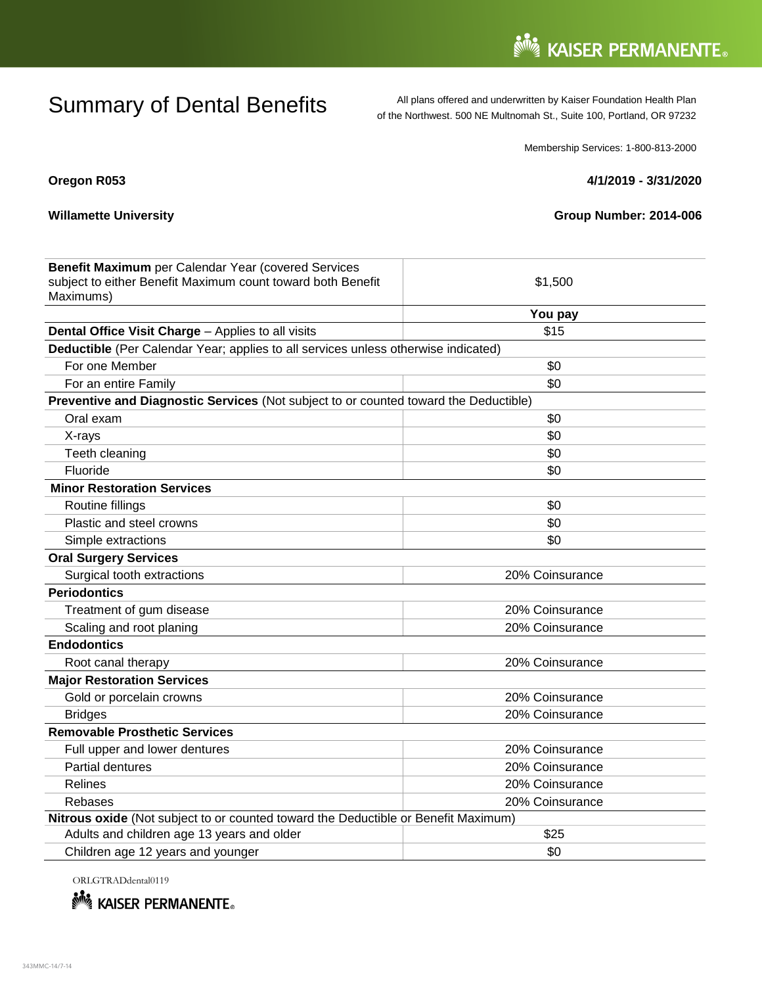Summary of Dental Benefits All plans offered and underwritten by Kaiser Foundation Health Plan<br>
of the Northwest, 500 NF Multnomah St., Suite 100, Portland, OR 97232 of the Northwest. 500 NE Multnomah St., Suite 100, Portland, OR 97232

Membership Services: 1-800-813-2000

# **Oregon R053 4/1/2019 - 3/31/2020**

## **Willamette University Willamette University Group Number: 2014-006**

| Benefit Maximum per Calendar Year (covered Services                                  |                 |
|--------------------------------------------------------------------------------------|-----------------|
| subject to either Benefit Maximum count toward both Benefit                          | \$1,500         |
| Maximums)                                                                            |                 |
|                                                                                      | You pay         |
| Dental Office Visit Charge - Applies to all visits                                   | \$15            |
| Deductible (Per Calendar Year; applies to all services unless otherwise indicated)   |                 |
| For one Member                                                                       | \$0             |
| For an entire Family                                                                 | \$0             |
| Preventive and Diagnostic Services (Not subject to or counted toward the Deductible) |                 |
| Oral exam                                                                            | \$0             |
| X-rays                                                                               | \$0             |
| Teeth cleaning                                                                       | \$0             |
| Fluoride                                                                             | \$0             |
| <b>Minor Restoration Services</b>                                                    |                 |
| Routine fillings                                                                     | \$0             |
| Plastic and steel crowns                                                             | \$0             |
| Simple extractions                                                                   | \$0             |
| <b>Oral Surgery Services</b>                                                         |                 |
| Surgical tooth extractions                                                           | 20% Coinsurance |
| <b>Periodontics</b>                                                                  |                 |
| Treatment of gum disease                                                             | 20% Coinsurance |
| Scaling and root planing                                                             | 20% Coinsurance |
| <b>Endodontics</b>                                                                   |                 |
| Root canal therapy                                                                   | 20% Coinsurance |
| <b>Major Restoration Services</b>                                                    |                 |
| Gold or porcelain crowns                                                             | 20% Coinsurance |
| <b>Bridges</b>                                                                       | 20% Coinsurance |
| <b>Removable Prosthetic Services</b>                                                 |                 |
| Full upper and lower dentures                                                        | 20% Coinsurance |
| Partial dentures                                                                     | 20% Coinsurance |
| Relines                                                                              | 20% Coinsurance |
| Rebases                                                                              | 20% Coinsurance |
| Nitrous oxide (Not subject to or counted toward the Deductible or Benefit Maximum)   |                 |
| Adults and children age 13 years and older                                           | \$25            |
| Children age 12 years and younger                                                    | \$0             |

ORLGTRADdental0119

**Note ASSER PERMANENTE.**